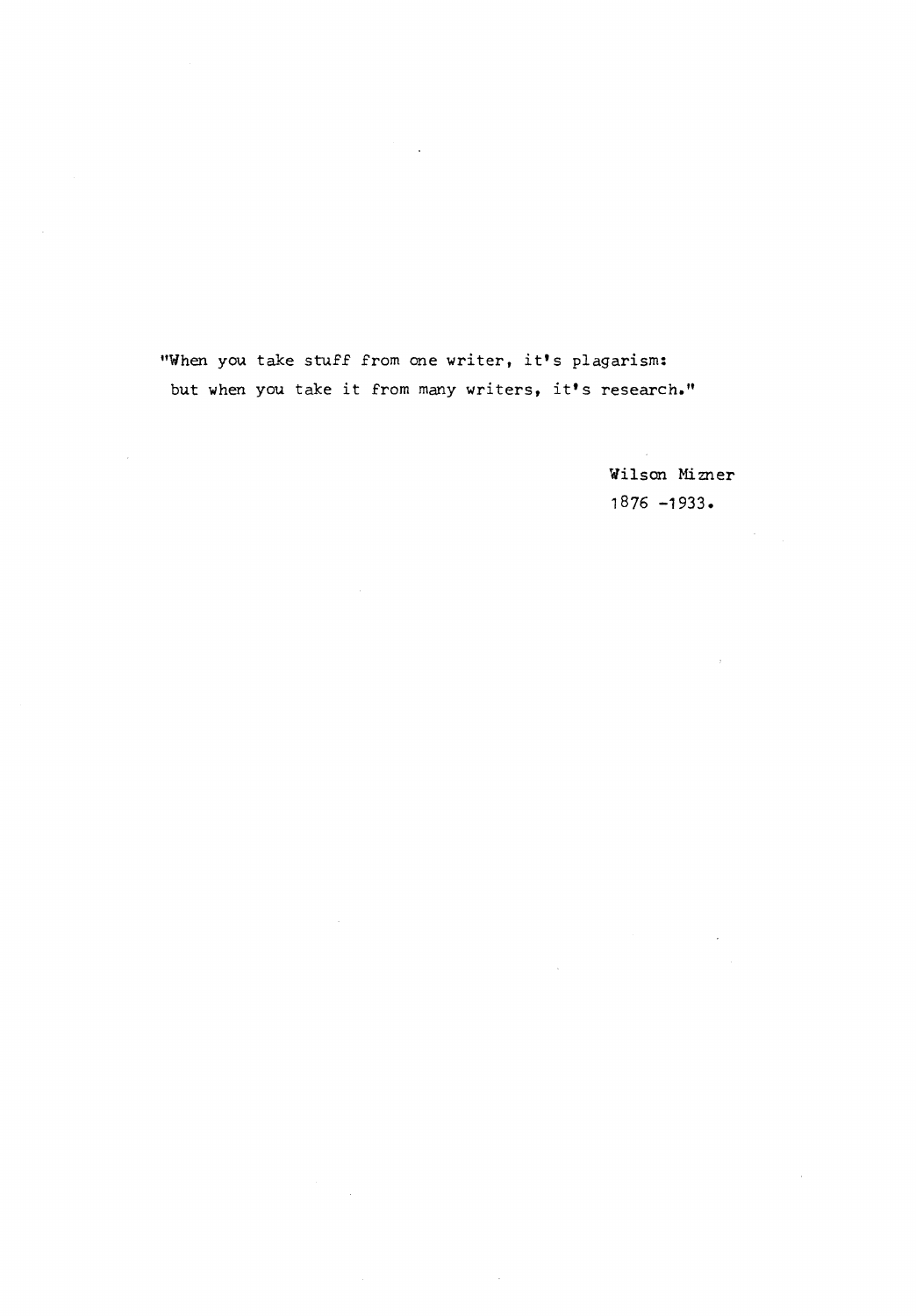"When you. take stuff from one writer, it's plagarism: but when you take it from many writers, it's research."

 $\bar{\gamma}$ 

Wilson Mizner 1876 -1933.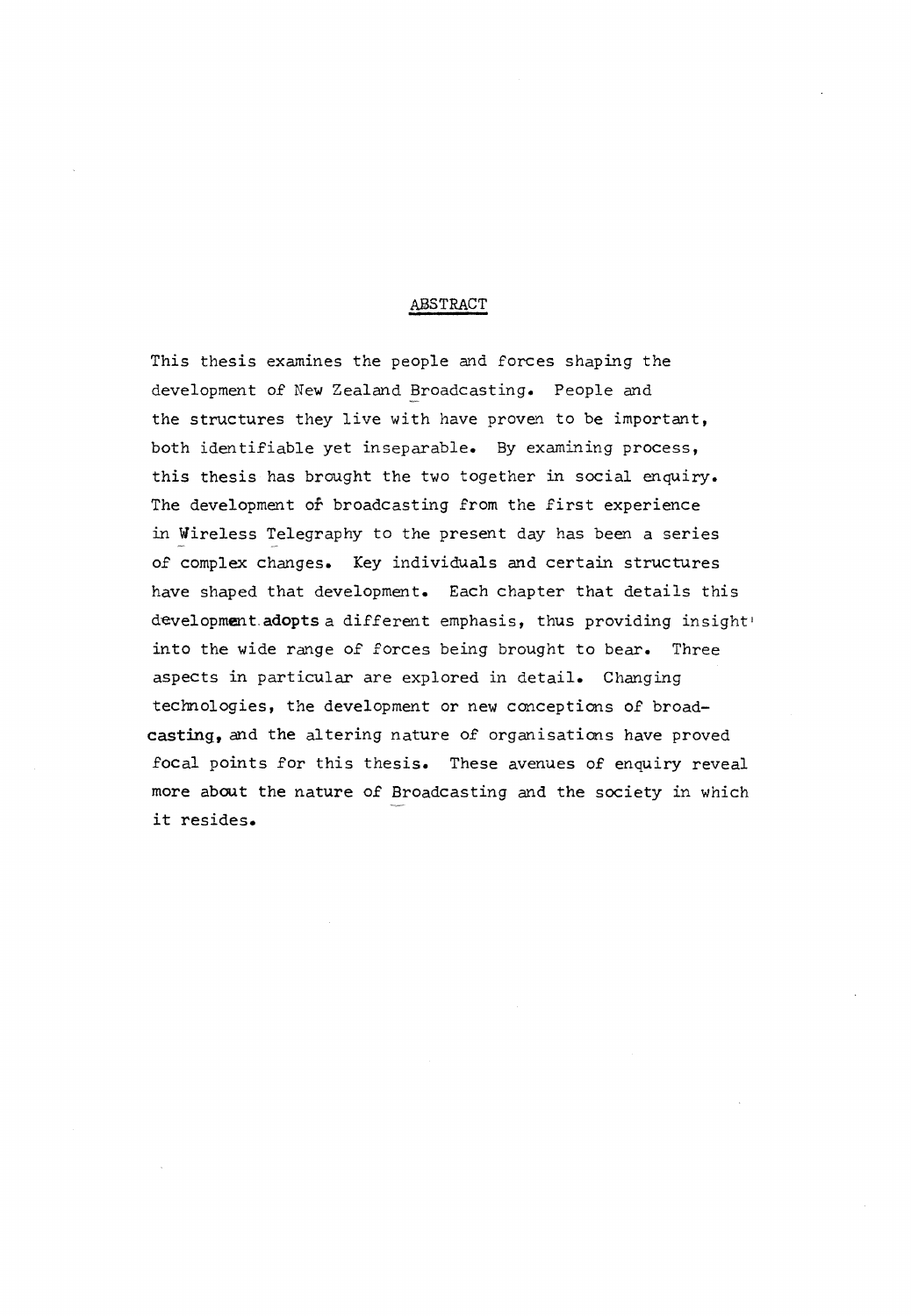#### ABSTRACT

This thesis examines the people and forces shaping the development of New Zealand Broadcasting. People and the structures they live with have proven to be important, both identifiable yet inseparable. By examining process, this thesis has brought the two together in social enquiry. The development of broadcasting from the first experience in Wireless Telegraphy to the present day has been a series of complex changes. Key individuals and certain structures have shaped that development. Each chapter that details this development.adopts a different emphasis, thus providing insight' into the wide range of forces being brought to bear. Three aspects in particular are explored in detail. Changing technologies, the development or new conceptions of broad**casting,** and the altering nature of organisations have proved focal points for this thesis. These avenues of enquiry reveal more about the nature of Broadcasting and the society in which it resides.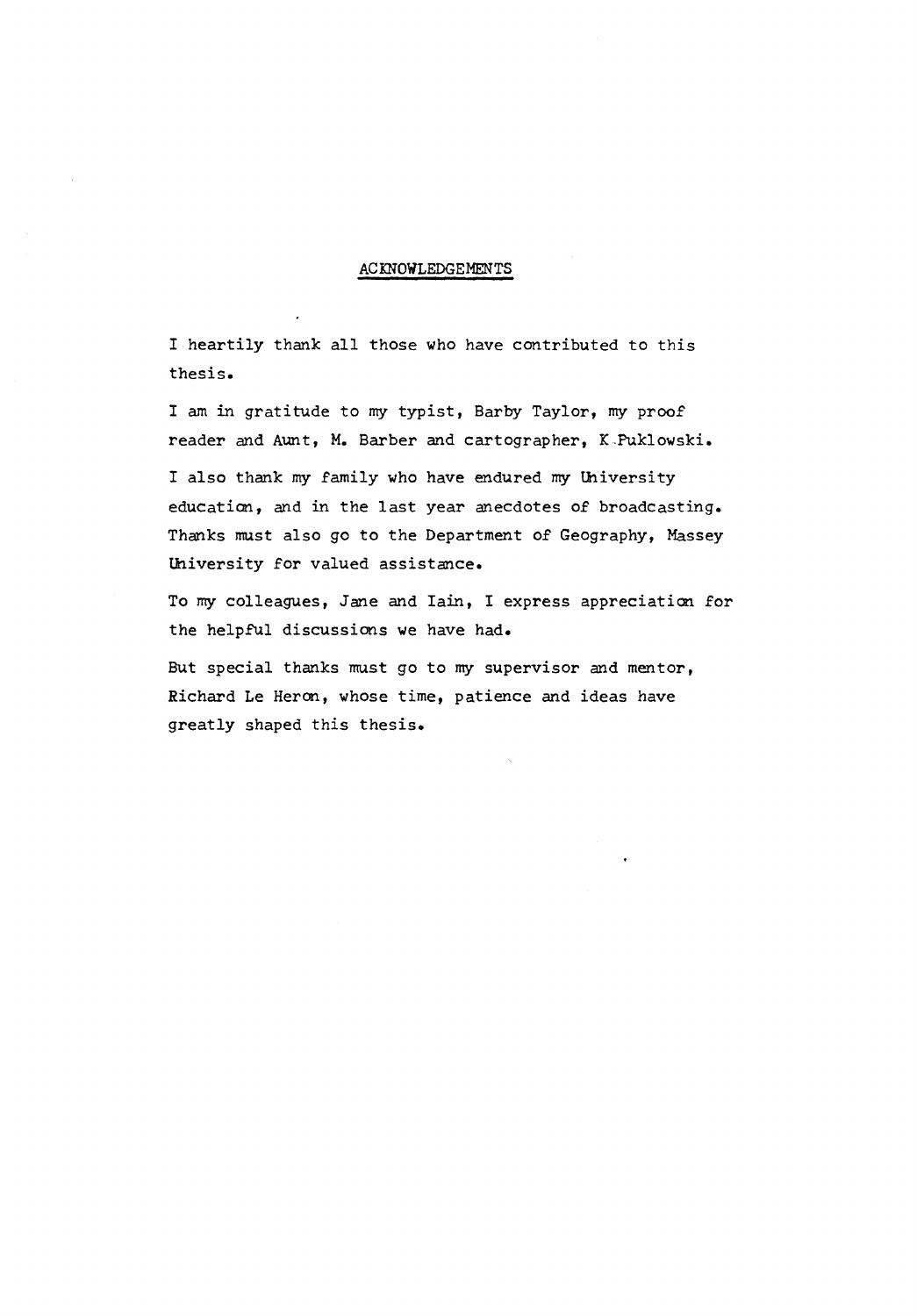### ACKNOWLEDGEMENTS

I heartily thank all those who have contributed to this thesis.

I am in gratitude to my typist, Barby Taylor, my proof reader and Aunt, M. Barber and cartographer, K.Puklowski.

I also thank my family who have endured my lhiversity education, and in the last year anecdotes of broadcasting. Thanks must also go to the Department of Geography, Massey lhiversity for valued assistance.

To my colleagues, Jane and Iain, I express appreciation for the helpful discussions we have had.

But special thanks must go to my supervisor and mentor, Richard Le Heron, whose time, patience and ideas have greatly shaped this thesis.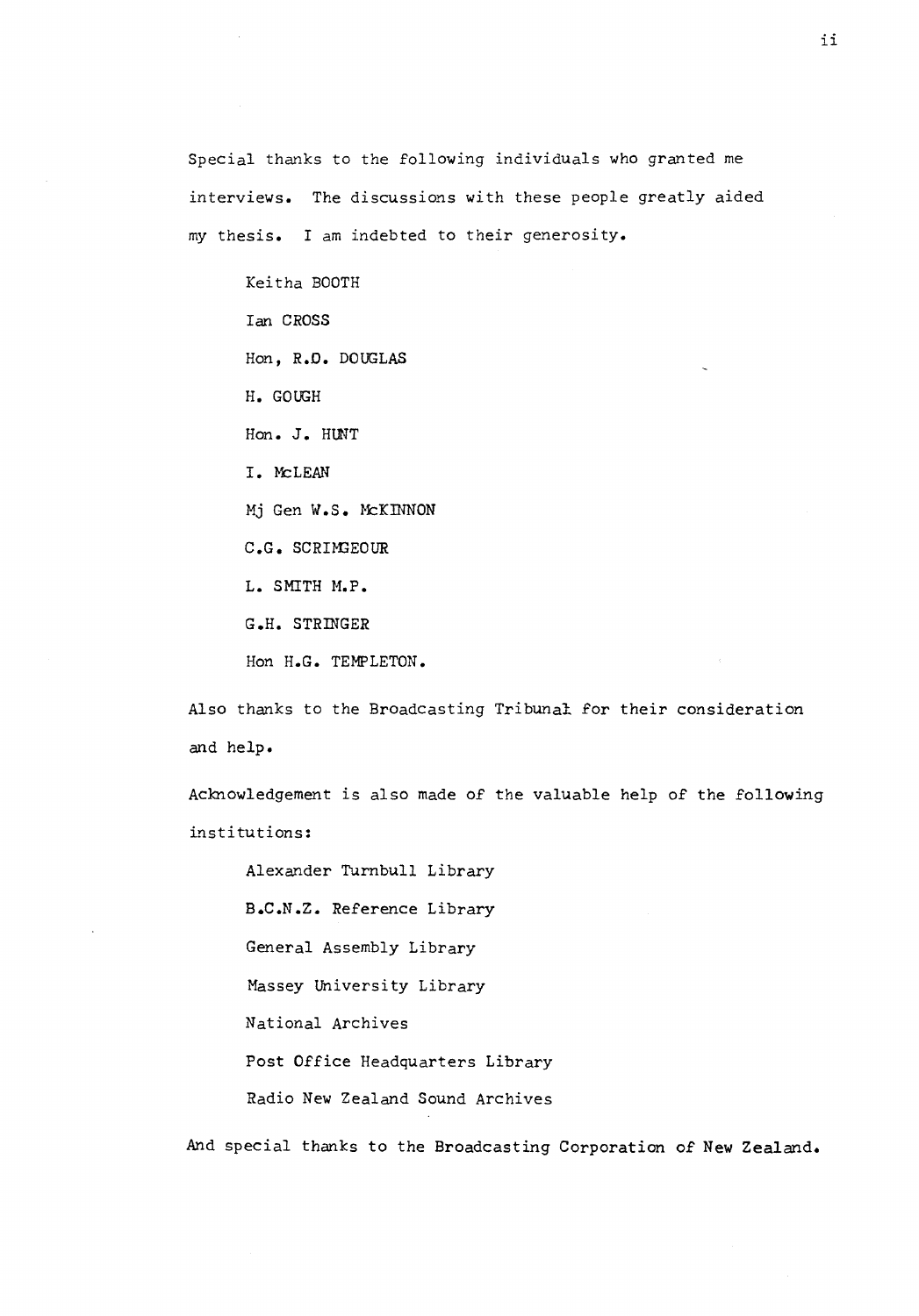Special thanks to the following individuals who granted me interviews. The discussions with these people greatly aided my thesis. I am indebted to their generosity.

Keitha BOOTH Ian **CROSS**  Hon, R.O. DOUGLAS H. GOUGH Hon. J. HlNT I. McLEAN Mj Gen W.S. McKINNON **C.G. SCRHGEOUR**  L. SMITH M.P. G.H. STRINGER Hon H.G. TEMPLETON.

Also thanks to the Broadcasting Tribunal for their consideration and help.

Acknowledgement is also made of the valuable help of the following institutions:

Alexander Turnbull Library B.C.N.Z. Reference Library General Assembly Library Massey University Library National Archives Post Office Headquarters Library Radio New Zealand Sound Archives

And special thanks to the Broadcasting Corporation of New Zealand.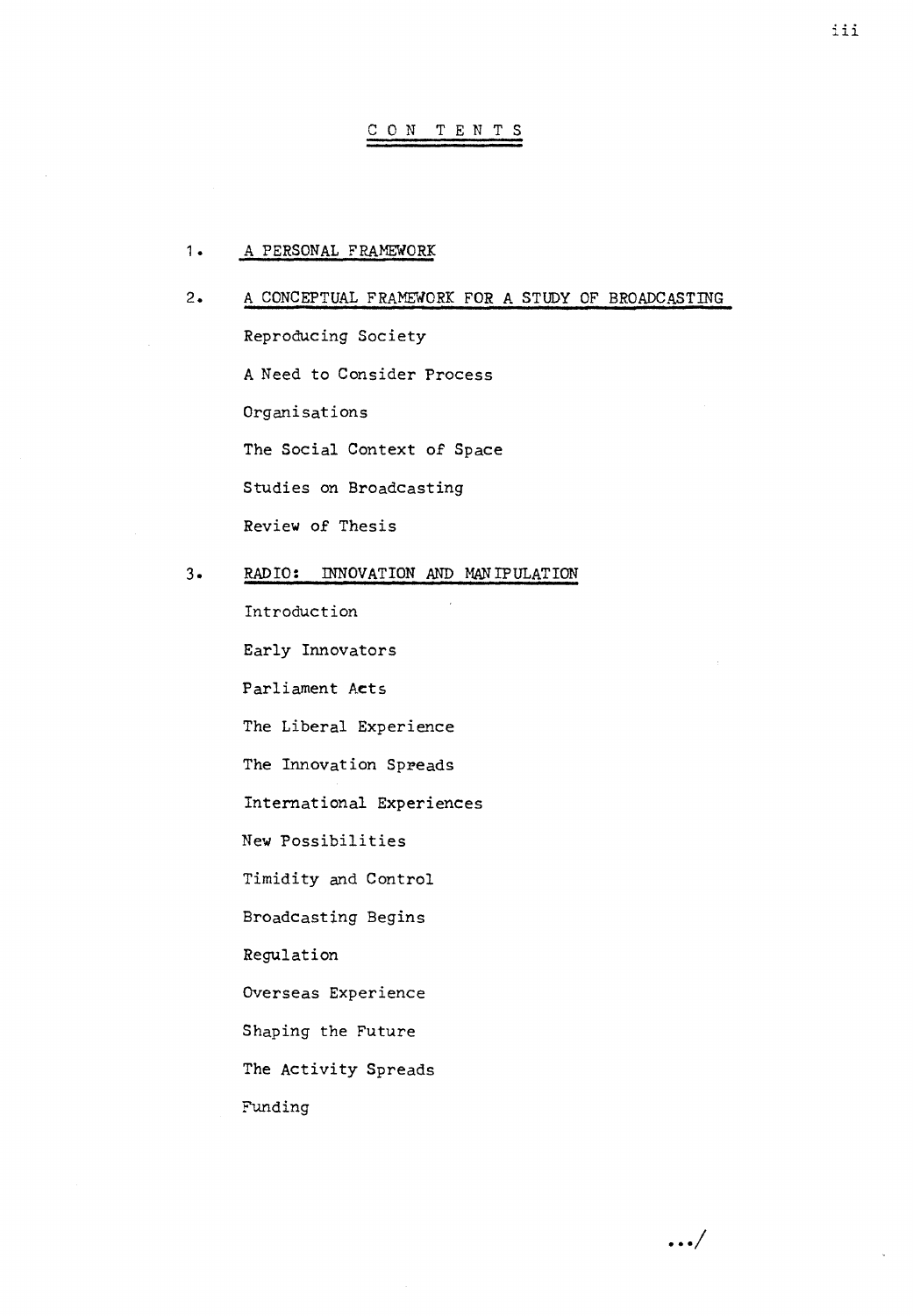### CON TENTS

### 1. A PERSONAL FRAMEWORK

# 2. A CONCEPTUAL FRAMEWORK FOR A STUDY OF BROADCASTING Reproducing Society A Need to Consider Process Organisations The Social Context of Space Studies on Broadcasting Review of Thesis 3. RAD IO: INNOVATION AND MANIPULATION

Introduction Early Innovators Parliament Acts The Liberal Experience The Innovation Spreads International Experiences New Possibilities Timidity and Control Broadcasting Begins Regulation Overseas Experience Shaping the Future The Activity Spreads Funding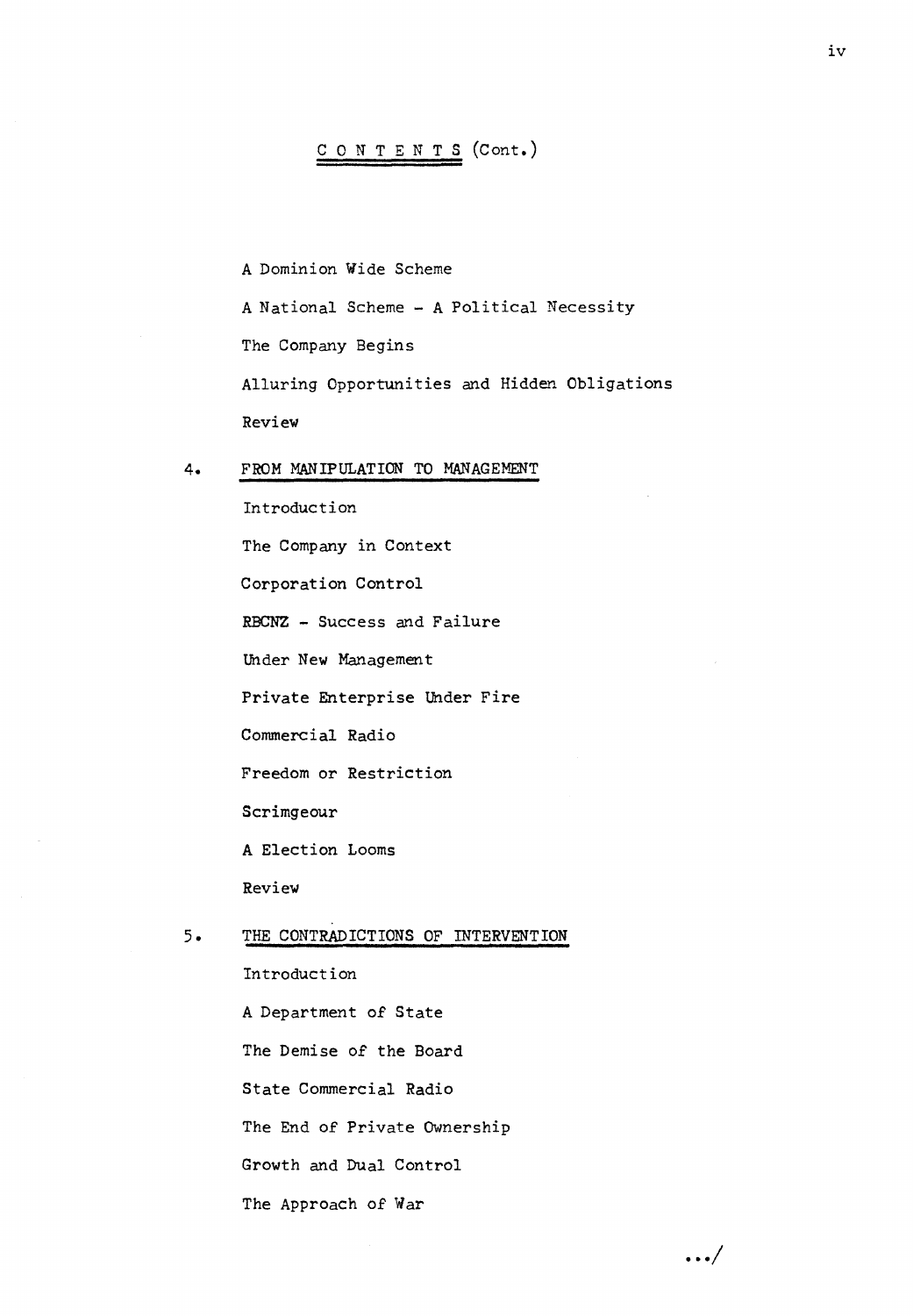### CONTENTS (Cont.)

A Dominion Wide Scheme A National Scheme - A Political Necessity The Company Begins Alluring Opportunities and Hidden Obligations Review

4. FROM MANIPULATION TO MANAGEMENT

Introduction The Company in Context Corporation Control RBCNZ - Success and Failure Under New Management Private Enterprise Under Fire Commercial Radio Freedom or Restriction Scrimgeour A Election Looms Review 5. THE CONTRADICTIONS OF INTERVENTION Introduction

A Department 0£ State The Demise 0£ the Board State Commercial Radio The End of Private Ownership Growth and Dual Control The Approach 0£ War

... /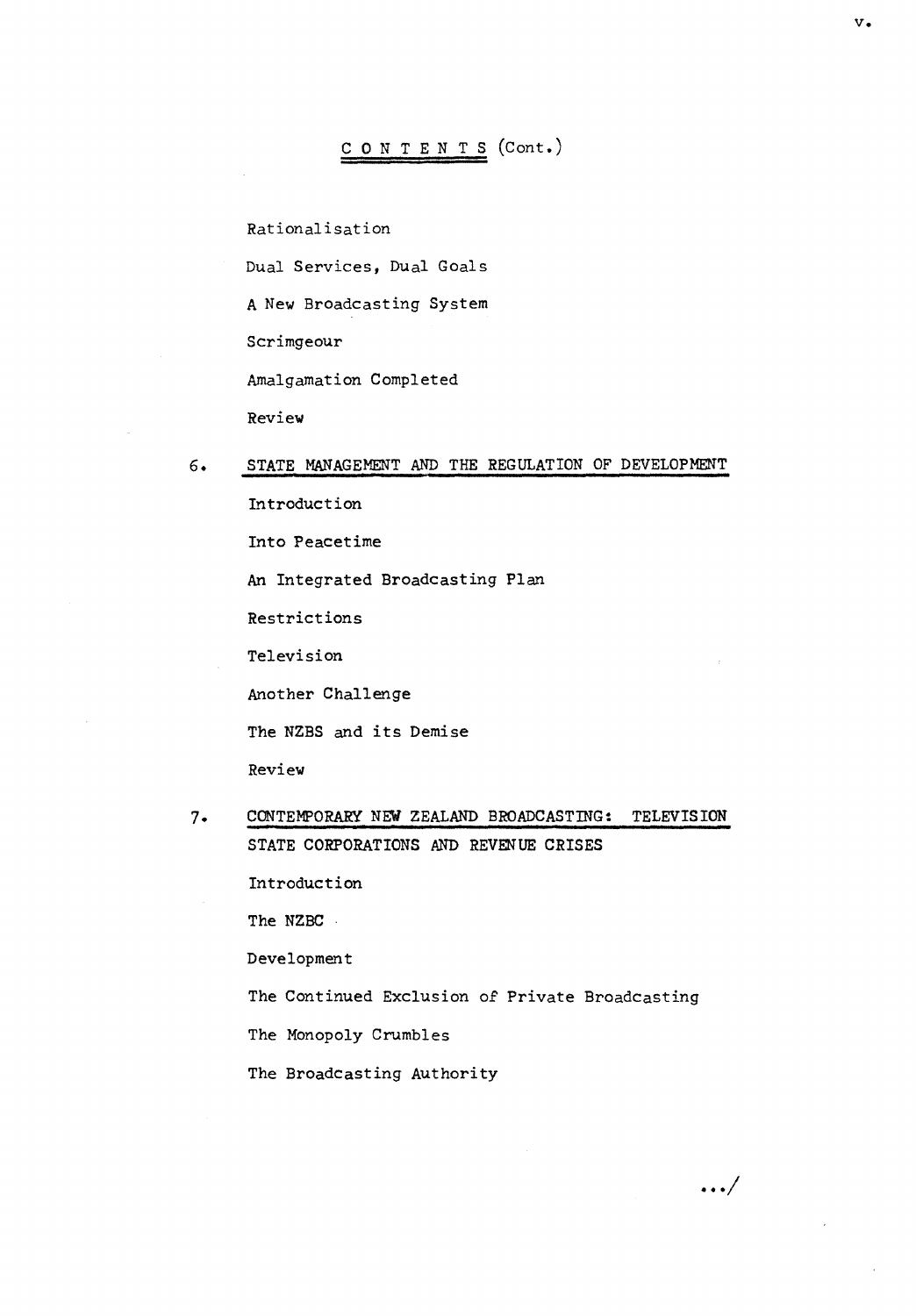# CONTENTS (Cont.)

Rationalisation

Dual Services, Dual Goals

A New Broadcasting System

Scrimgeour

Amalgamation Completed

Review

#### 6. STATE MANAGEMENT AND THE REGULATION OF DEVELOPMENT

Introduction Into Peacetime An Integrated Broadcasting Plan Restrictions Television Another Challenge The NZBS and its Demise Review

7. CONTEMPORARY NEW ZEALAND BROADCASTING: TELEVISION STATE CORPORATIONS AND REVENUE CRISES Introduction

The NZBC ·

Development

The Continued Exclusion of Private Broadcasting

The Monopoly Crumbles

The Broadcasting Authority

 $\ldots/$